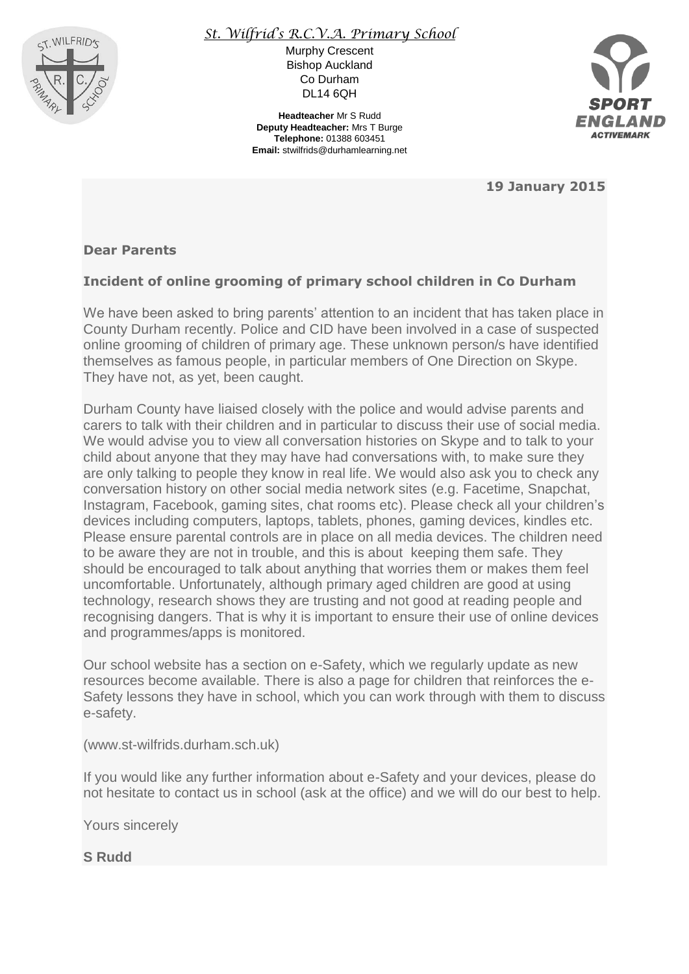

## *St. Wilfrid's R.C.V.A. Primary School*

Murphy Crescent Bishop Auckland Co Durham DL14 6QH

**Headteacher** Mr S Rudd **Deputy Headteacher:** Mrs T Burge **Telephone:** 01388 603451 **Email:** stwilfrids@durhamlearning.net



**19 January 2015**

## **Dear Parents**

## **Incident of online grooming of primary school children in Co Durham**

We have been asked to bring parents' attention to an incident that has taken place in County Durham recently. Police and CID have been involved in a case of suspected online grooming of children of primary age. These unknown person/s have identified themselves as famous people, in particular members of One Direction on Skype. They have not, as yet, been caught.

Durham County have liaised closely with the police and would advise parents and carers to talk with their children and in particular to discuss their use of social media. We would advise you to view all conversation histories on Skype and to talk to your child about anyone that they may have had conversations with, to make sure they are only talking to people they know in real life. We would also ask you to check any conversation history on other social media network sites (e.g. Facetime, Snapchat, Instagram, Facebook, gaming sites, chat rooms etc). Please check all your children's devices including computers, laptops, tablets, phones, gaming devices, kindles etc. Please ensure parental controls are in place on all media devices. The children need to be aware they are not in trouble, and this is about keeping them safe. They should be encouraged to talk about anything that worries them or makes them feel uncomfortable. Unfortunately, although primary aged children are good at using technology, research shows they are trusting and not good at reading people and recognising dangers. That is why it is important to ensure their use of online devices and programmes/apps is monitored.

Our school website has a section on e-Safety, which we regularly update as new resources become available. There is also a page for children that reinforces the e-Safety lessons they have in school, which you can work through with them to discuss e-safety.

(www.st-wilfrids.durham.sch.uk)

If you would like any further information about e-Safety and your devices, please do not hesitate to contact us in school (ask at the office) and we will do our best to help.

Yours sincerely

**S Rudd**